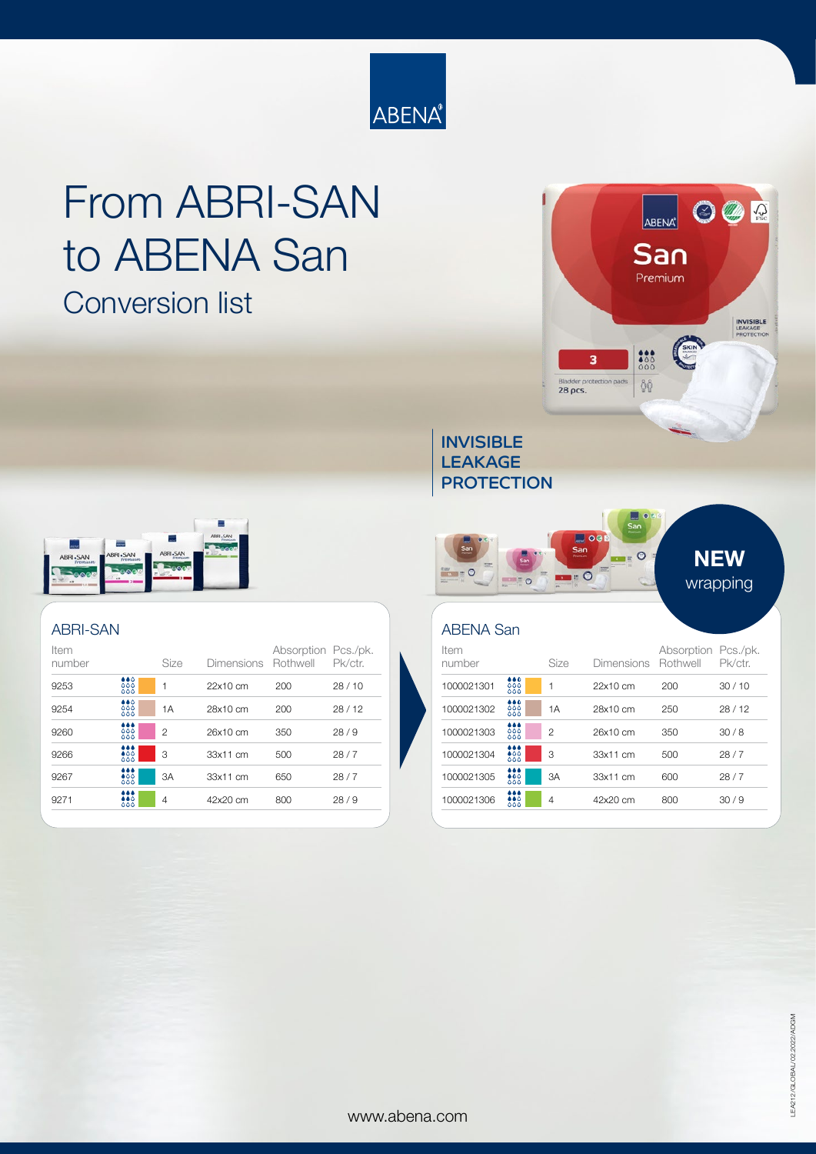

# From ABRI-SAN to ABENA San Conversion list



|          | un.                           | ABRI-SAN |
|----------|-------------------------------|----------|
| ABRI.SAN | ABRI.SAN<br><b>Notice and</b> |          |
|          |                               |          |
|          | ÷.                            |          |

#### ABRI-SAN

| Item<br>number |                                     | Size           | Dimensions Rothwell | Absorption Pcs./pk. | Pk/ctr. |
|----------------|-------------------------------------|----------------|---------------------|---------------------|---------|
| 9253           | $\bullet\bullet\circ$<br>000<br>000 |                | 22x10 cm            | 200                 | 28/10   |
| 9254           | $\bullet\bullet\circ$<br>०००<br>000 | 1A             | 28x10 cm            | 200                 | 28/12   |
| 9260           | <br>ةةة<br>000                      | $\overline{c}$ | 26x10 cm            | 350                 | 28/9    |
| 9266           | <br>000<br>000                      | 3              | 33x11 cm            | 500                 | 28/7    |
| 9267           | $\frac{400}{600}$<br>000            | 3A             | 33x11 cm            | 650                 | 28/7    |
| 9271           | <br>440<br>000                      | 4              | 42x20 cm            | 800                 | 28/9    |

### INVISIBLE LEAKAGE **PROTECTION**



### ABENA San

| ltem<br>number |                                       | Size           | Dimensions Rothwell | Absorption Pcs./pk. | Pk/ctr. |
|----------------|---------------------------------------|----------------|---------------------|---------------------|---------|
| 1000021301     | $\bullet\bullet\bullet$<br>000<br>٥٥٥ | 1              | 22x10 cm            | 200                 | 30/10   |
| 1000021302     | $\bullet\bullet\bullet$<br>000<br>666 | 1A             | 28x10 cm            | 250                 | 28/12   |
| 1000021303     | <br>666<br>०००                        | 2              | 26x10 cm            | 350                 | 30/8    |
| 1000021304     | <br>000<br>ەەە                        | 3              | 33x11 cm            | 500                 | 28/7    |
| 1000021305     | <br>000<br>٥٥٥                        | 3A             | 33x11 cm            | 600                 | 28/7    |
| 1000021306     | <br>$\bullet\bullet\circ$<br>٥٥٥      | $\overline{4}$ | 42x20 cm            | 800                 | 30/9    |
|                |                                       |                |                     |                     |         |